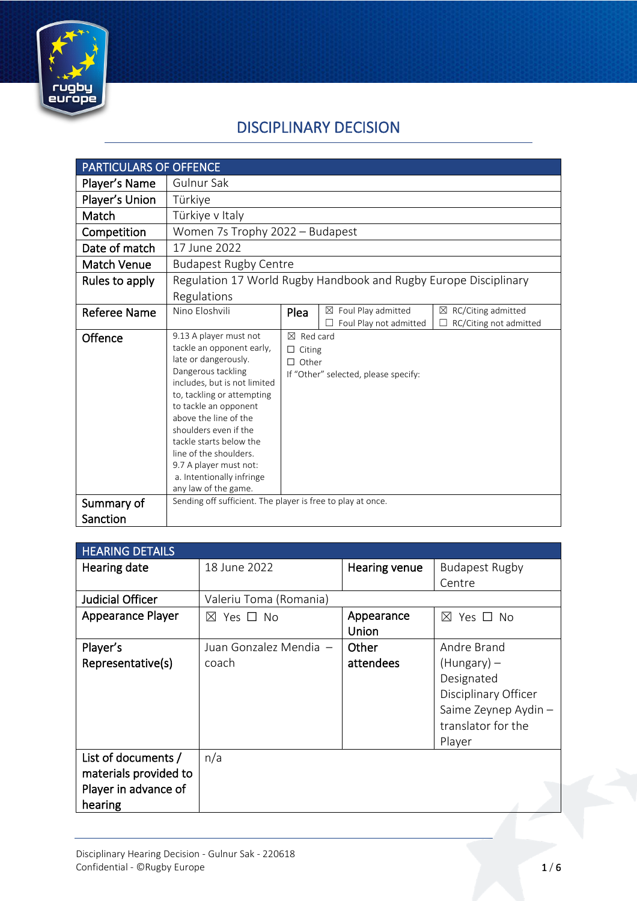

# DISCIPLINARY DECISION

| <b>PARTICULARS OF OFFENCE</b> |                                                                                                                                                                                                                                                                                                                                                                                |                                                                                               |                                                          |                                                   |
|-------------------------------|--------------------------------------------------------------------------------------------------------------------------------------------------------------------------------------------------------------------------------------------------------------------------------------------------------------------------------------------------------------------------------|-----------------------------------------------------------------------------------------------|----------------------------------------------------------|---------------------------------------------------|
| Player's Name                 | Gulnur Sak                                                                                                                                                                                                                                                                                                                                                                     |                                                                                               |                                                          |                                                   |
| Player's Union                | Türkiye                                                                                                                                                                                                                                                                                                                                                                        |                                                                                               |                                                          |                                                   |
| Match                         | Türkiye v Italy                                                                                                                                                                                                                                                                                                                                                                |                                                                                               |                                                          |                                                   |
| Competition                   | Women 7s Trophy 2022 - Budapest                                                                                                                                                                                                                                                                                                                                                |                                                                                               |                                                          |                                                   |
| Date of match                 | 17 June 2022                                                                                                                                                                                                                                                                                                                                                                   |                                                                                               |                                                          |                                                   |
| <b>Match Venue</b>            | <b>Budapest Rugby Centre</b>                                                                                                                                                                                                                                                                                                                                                   |                                                                                               |                                                          |                                                   |
| Rules to apply                | Regulation 17 World Rugby Handbook and Rugby Europe Disciplinary                                                                                                                                                                                                                                                                                                               |                                                                                               |                                                          |                                                   |
|                               | Regulations                                                                                                                                                                                                                                                                                                                                                                    |                                                                                               |                                                          |                                                   |
| <b>Referee Name</b>           | Nino Eloshvili                                                                                                                                                                                                                                                                                                                                                                 | Plea                                                                                          | $\boxtimes$ Foul Play admitted<br>Foul Play not admitted | RC/Citing admitted<br>⊠<br>RC/Citing not admitted |
| Offence                       | 9.13 A player must not<br>tackle an opponent early,<br>late or dangerously.<br>Dangerous tackling<br>includes, but is not limited<br>to, tackling or attempting<br>to tackle an opponent<br>above the line of the<br>shoulders even if the<br>tackle starts below the<br>line of the shoulders.<br>9.7 A player must not:<br>a. Intentionally infringe<br>any law of the game. | $\boxtimes$ Red card<br>$\Box$ Citing<br>$\Box$ Other<br>If "Other" selected, please specify: |                                                          |                                                   |
| Summary of                    | Sending off sufficient. The player is free to play at once.                                                                                                                                                                                                                                                                                                                    |                                                                                               |                                                          |                                                   |
| Sanction                      |                                                                                                                                                                                                                                                                                                                                                                                |                                                                                               |                                                          |                                                   |

| <b>HEARING DETAILS</b> |                           |               |                       |
|------------------------|---------------------------|---------------|-----------------------|
| Hearing date           | 18 June 2022              | Hearing venue | <b>Budapest Rugby</b> |
|                        |                           |               | Centre                |
| Judicial Officer       | Valeriu Toma (Romania)    |               |                       |
| Appearance Player      | $\boxtimes$ Yes $\Box$ No | Appearance    | Yes □ No<br>$\bowtie$ |
|                        |                           | Union         |                       |
| Player's               | Juan Gonzalez Mendia -    | Other         | Andre Brand           |
| Representative(s)      | coach                     | attendees     | $(Hungary)$ –         |
|                        |                           |               | Designated            |
|                        |                           |               | Disciplinary Officer  |
|                        |                           |               | Saime Zeynep Aydin -  |
|                        |                           |               | translator for the    |
|                        |                           |               | Player                |
| List of documents /    | n/a                       |               |                       |
| materials provided to  |                           |               |                       |
| Player in advance of   |                           |               |                       |
| hearing                |                           |               |                       |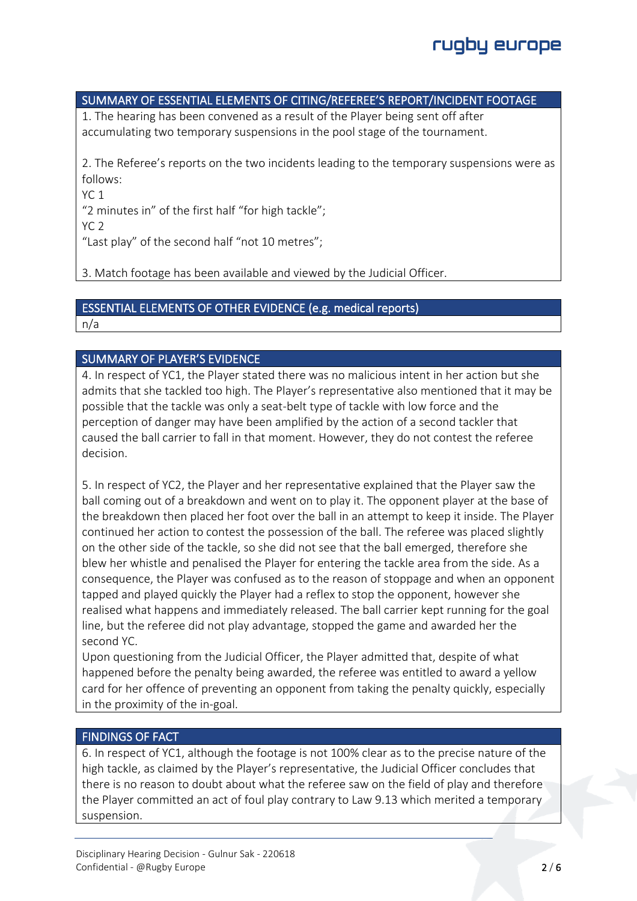## SUMMARY OF ESSENTIAL ELEMENTS OF CITING/REFEREE'S REPORT/INCIDENT FOOTAGE

1. The hearing has been convened as a result of the Player being sent off after accumulating two temporary suspensions in the pool stage of the tournament.

2. The Referee's reports on the two incidents leading to the temporary suspensions were as follows:

YC 1

"2 minutes in" of the first half "for high tackle";

YC 2

"Last play" of the second half "not 10 metres";

3. Match footage has been available and viewed by the Judicial Officer.

### ESSENTIAL ELEMENTS OF OTHER EVIDENCE (e.g. medical reports)

n/a

## SUMMARY OF PLAYER'S EVIDENCE

4. In respect of YC1, the Player stated there was no malicious intent in her action but she admits that she tackled too high. The Player's representative also mentioned that it may be possible that the tackle was only a seat-belt type of tackle with low force and the perception of danger may have been amplified by the action of a second tackler that caused the ball carrier to fall in that moment. However, they do not contest the referee decision.

5. In respect of YC2, the Player and her representative explained that the Player saw the ball coming out of a breakdown and went on to play it. The opponent player at the base of the breakdown then placed her foot over the ball in an attempt to keep it inside. The Player continued her action to contest the possession of the ball. The referee was placed slightly on the other side of the tackle, so she did not see that the ball emerged, therefore she blew her whistle and penalised the Player for entering the tackle area from the side. As a consequence, the Player was confused as to the reason of stoppage and when an opponent tapped and played quickly the Player had a reflex to stop the opponent, however she realised what happens and immediately released. The ball carrier kept running for the goal line, but the referee did not play advantage, stopped the game and awarded her the second YC.

Upon questioning from the Judicial Officer, the Player admitted that, despite of what happened before the penalty being awarded, the referee was entitled to award a yellow card for her offence of preventing an opponent from taking the penalty quickly, especially in the proximity of the in-goal.

#### FINDINGS OF FACT

6. In respect of YC1, although the footage is not 100% clear as to the precise nature of the high tackle, as claimed by the Player's representative, the Judicial Officer concludes that there is no reason to doubt about what the referee saw on the field of play and therefore the Player committed an act of foul play contrary to Law 9.13 which merited a temporary suspension.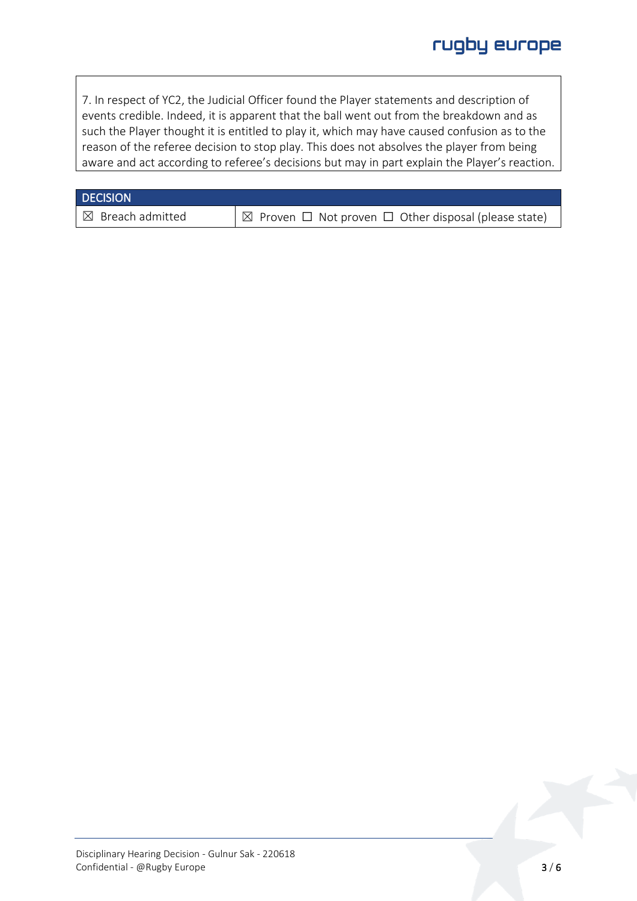7. In respect of YC2, the Judicial Officer found the Player statements and description of events credible. Indeed, it is apparent that the ball went out from the breakdown and as such the Player thought it is entitled to play it, which may have caused confusion as to the reason of the referee decision to stop play. This does not absolves the player from being aware and act according to referee's decisions but may in part explain the Player's reaction.

#### **DECISION**

 $\boxtimes$  Breach admitted  $\boxtimes$  Proven  $\Box$  Not proven  $\Box$  Other disposal (please state)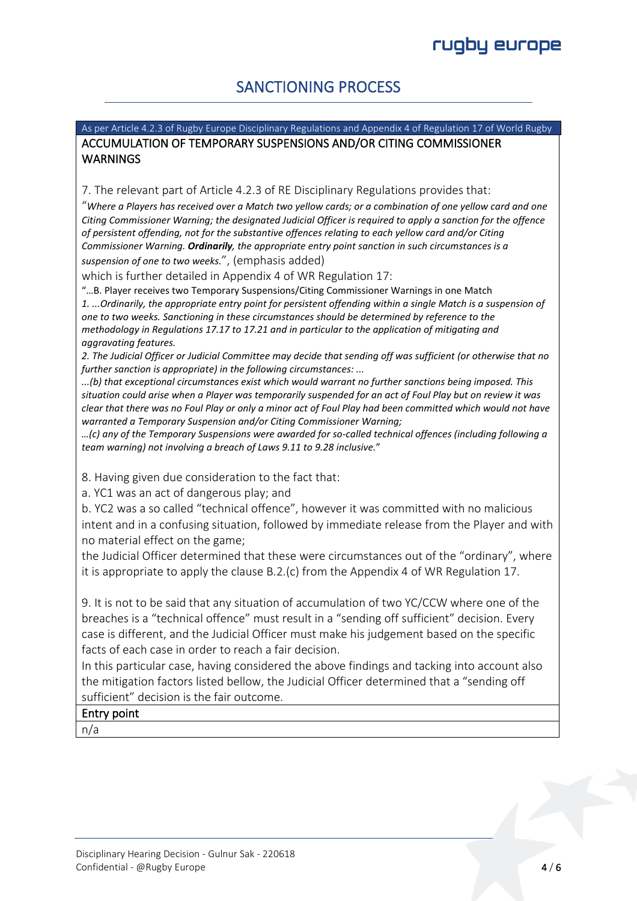# SANCTIONING PROCESS

### As per Article 4.2.3 of Rugby Europe Disciplinary Regulations and Appendix 4 of Regulation 17 of World Rugby ACCUMULATION OF TEMPORARY SUSPENSIONS AND/OR CITING COMMISSIONER **WARNINGS**

7. The relevant part of Article 4.2.3 of RE Disciplinary Regulations provides that:

"*Where a Players has received over a Match two yellow cards; or a combination of one yellow card and one Citing Commissioner Warning; the designated Judicial Officer is required to apply a sanction for the offence of persistent offending, not for the substantive offences relating to each yellow card and/or Citing Commissioner Warning. Ordinarily, the appropriate entry point sanction in such circumstances is a suspension of one to two weeks.*", (emphasis added)

which is further detailed in Appendix 4 of WR Regulation 17:

"…B. Player receives two Temporary Suspensions/Citing Commissioner Warnings in one Match *1. ...Ordinarily, the appropriate entry point for persistent offending within a single Match is a suspension of one to two weeks. Sanctioning in these circumstances should be determined by reference to the methodology in Regulations 17.17 to 17.21 and in particular to the application of mitigating and aggravating features.*

*2. The Judicial Officer or Judicial Committee may decide that sending off was sufficient (or otherwise that no further sanction is appropriate) in the following circumstances: ...*

*...(b) that exceptional circumstances exist which would warrant no further sanctions being imposed. This situation could arise when a Player was temporarily suspended for an act of Foul Play but on review it was clear that there was no Foul Play or only a minor act of Foul Play had been committed which would not have warranted a Temporary Suspension and/or Citing Commissioner Warning;* 

*…(c) any of the Temporary Suspensions were awarded for so-called technical offences (including following a team warning) not involving a breach of Laws 9.11 to 9.28 inclusive.*"

8. Having given due consideration to the fact that:

a. YC1 was an act of dangerous play; and

b. YC2 was a so called "technical offence", however it was committed with no malicious intent and in a confusing situation, followed by immediate release from the Player and with no material effect on the game;

the Judicial Officer determined that these were circumstances out of the "ordinary", where it is appropriate to apply the clause B.2.(c) from the Appendix 4 of WR Regulation 17.

9. It is not to be said that any situation of accumulation of two YC/CCW where one of the breaches is a "technical offence" must result in a "sending off sufficient" decision. Every case is different, and the Judicial Officer must make his judgement based on the specific facts of each case in order to reach a fair decision.

In this particular case, having considered the above findings and tacking into account also the mitigation factors listed bellow, the Judicial Officer determined that a "sending off sufficient" decision is the fair outcome.

## Entry point

n/a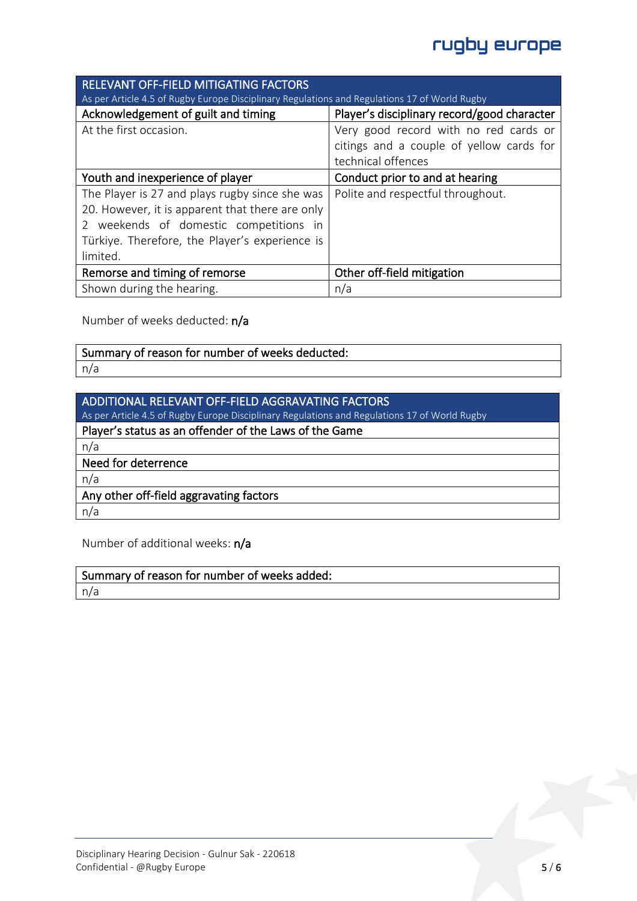# rugby europe

| <b>RELEVANT OFF-FIELD MITIGATING FACTORS</b>                                                  |                                             |  |
|-----------------------------------------------------------------------------------------------|---------------------------------------------|--|
| As per Article 4.5 of Rugby Europe Disciplinary Regulations and Regulations 17 of World Rugby |                                             |  |
| Acknowledgement of guilt and timing                                                           | Player's disciplinary record/good character |  |
| At the first occasion.                                                                        | Very good record with no red cards or       |  |
|                                                                                               | citings and a couple of yellow cards for    |  |
|                                                                                               | technical offences                          |  |
| Youth and inexperience of player                                                              | Conduct prior to and at hearing             |  |
| The Player is 27 and plays rugby since she was                                                | Polite and respectful throughout.           |  |
| 20. However, it is apparent that there are only                                               |                                             |  |
| 2 weekends of domestic competitions in                                                        |                                             |  |
| Türkiye. Therefore, the Player's experience is                                                |                                             |  |
| limited.                                                                                      |                                             |  |
| Remorse and timing of remorse                                                                 | Other off-field mitigation                  |  |
| Shown during the hearing.                                                                     | n/a                                         |  |

Number of weeks deducted: n/a

| Summary of reason for number of weeks deducted: |
|-------------------------------------------------|
| n/r                                             |

Number of additional weeks: n/a

Summary of reason for number of weeks added: n/a